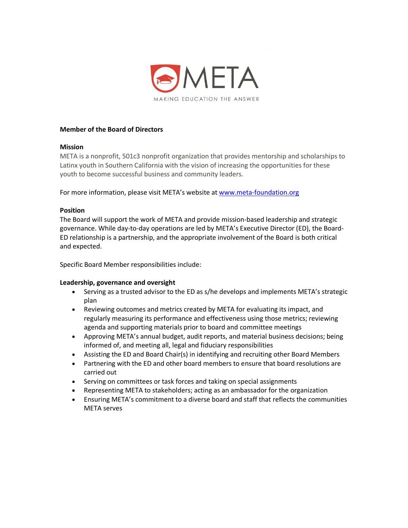

# **Member of the Board of Directors**

## **Mission**

META is a nonprofit, 501c3 nonprofit organization that provides mentorship and scholarships to Latinx youth in Southern California with the vision of increasing the opportunities for these youth to become successful business and community leaders.

For more information, please visit META's website at [www.meta-foundation.org](http://www.meta-foundation.org/)

### **Position**

The Board will support the work of META and provide mission-based leadership and strategic governance. While day-to-day operations are led by META's Executive Director (ED), the Board-ED relationship is a partnership, and the appropriate involvement of the Board is both critical and expected.

Specific Board Member responsibilities include:

#### **Leadership, governance and oversight**

- Serving as a trusted advisor to the ED as s/he develops and implements META's strategic plan
- Reviewing outcomes and metrics created by META for evaluating its impact, and regularly measuring its performance and effectiveness using those metrics; reviewing agenda and supporting materials prior to board and committee meetings
- Approving META's annual budget, audit reports, and material business decisions; being informed of, and meeting all, legal and fiduciary responsibilities
- Assisting the ED and Board Chair(s) in identifying and recruiting other Board Members
- Partnering with the ED and other board members to ensure that board resolutions are carried out
- Serving on committees or task forces and taking on special assignments
- Representing META to stakeholders; acting as an ambassador for the organization
- Ensuring META's commitment to a diverse board and staff that reflects the communities META serves